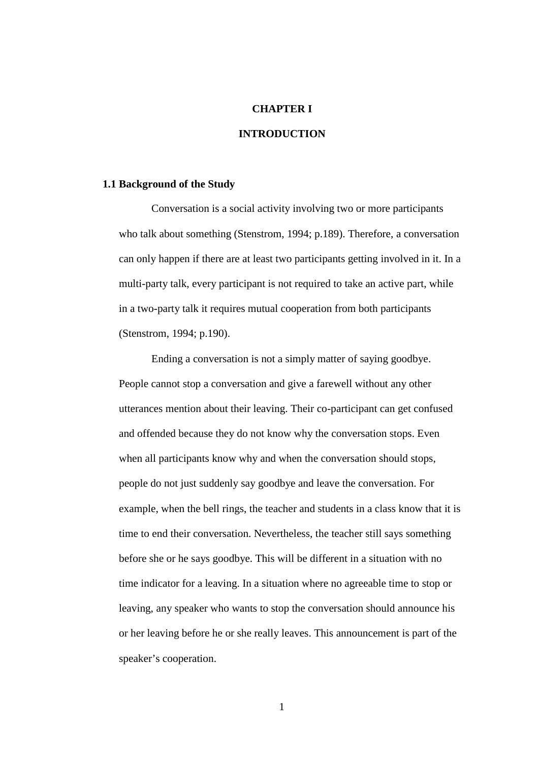## **CHAPTER I**

# **INTRODUCTION**

## **1.1 Background of the Study**

Conversation is a social activity involving two or more participants who talk about something (Stenstrom, 1994; p.189). Therefore, a conversation can only happen if there are at least two participants getting involved in it. In a multi-party talk, every participant is not required to take an active part, while in a two-party talk it requires mutual cooperation from both participants (Stenstrom, 1994; p.190).

Ending a conversation is not a simply matter of saying goodbye. People cannot stop a conversation and give a farewell without any other utterances mention about their leaving. Their co-participant can get confused and offended because they do not know why the conversation stops. Even when all participants know why and when the conversation should stops, people do not just suddenly say goodbye and leave the conversation. For example, when the bell rings, the teacher and students in a class know that it is time to end their conversation. Nevertheless, the teacher still says something before she or he says goodbye. This will be different in a situation with no time indicator for a leaving. In a situation where no agreeable time to stop or leaving, any speaker who wants to stop the conversation should announce his or her leaving before he or she really leaves. This announcement is part of the speaker's cooperation.

1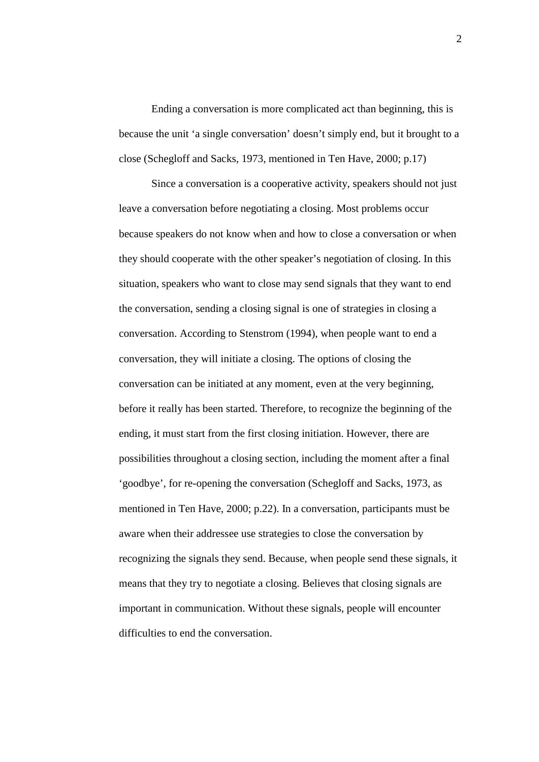Ending a conversation is more complicated act than beginning, this is because the unit 'a single conversation' doesn't simply end, but it brought to a close (Schegloff and Sacks, 1973, mentioned in Ten Have, 2000; p.17)

Since a conversation is a cooperative activity, speakers should not just leave a conversation before negotiating a closing. Most problems occur because speakers do not know when and how to close a conversation or when they should cooperate with the other speaker's negotiation of closing. In this situation, speakers who want to close may send signals that they want to end the conversation, sending a closing signal is one of strategies in closing a conversation. According to Stenstrom (1994), when people want to end a conversation, they will initiate a closing. The options of closing the conversation can be initiated at any moment, even at the very beginning, before it really has been started. Therefore, to recognize the beginning of the ending, it must start from the first closing initiation. However, there are possibilities throughout a closing section, including the moment after a final 'goodbye', for re-opening the conversation (Schegloff and Sacks, 1973, as mentioned in Ten Have, 2000; p.22). In a conversation, participants must be aware when their addressee use strategies to close the conversation by recognizing the signals they send. Because, when people send these signals, it means that they try to negotiate a closing. Believes that closing signals are important in communication. Without these signals, people will encounter difficulties to end the conversation.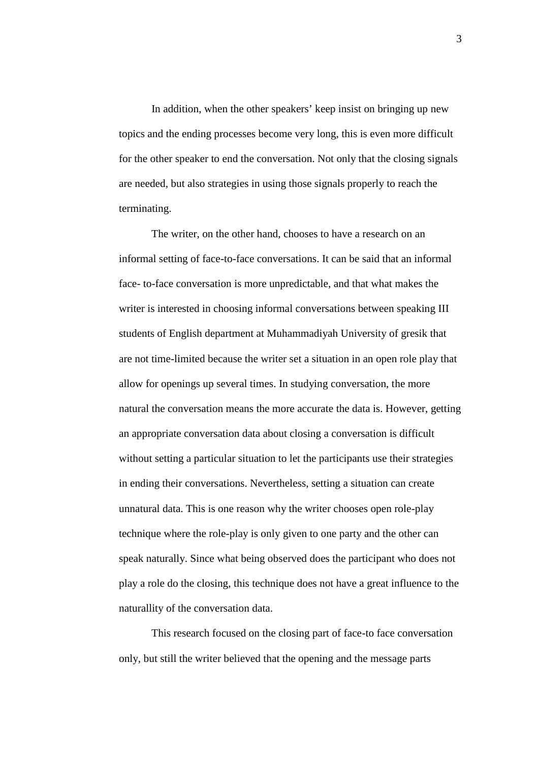In addition, when the other speakers' keep insist on bringing up new topics and the ending processes become very long, this is even more difficult for the other speaker to end the conversation. Not only that the closing signals are needed, but also strategies in using those signals properly to reach the terminating.

The writer, on the other hand, chooses to have a research on an informal setting of face-to-face conversations. It can be said that an informal face- to-face conversation is more unpredictable, and that what makes the writer is interested in choosing informal conversations between speaking III students of English department at Muhammadiyah University of gresik that are not time-limited because the writer set a situation in an open role play that allow for openings up several times. In studying conversation, the more natural the conversation means the more accurate the data is. However, getting an appropriate conversation data about closing a conversation is difficult without setting a particular situation to let the participants use their strategies in ending their conversations. Nevertheless, setting a situation can create unnatural data. This is one reason why the writer chooses open role-play technique where the role-play is only given to one party and the other can speak naturally. Since what being observed does the participant who does not play a role do the closing, this technique does not have a great influence to the naturallity of the conversation data.

This research focused on the closing part of face-to face conversation only, but still the writer believed that the opening and the message parts

3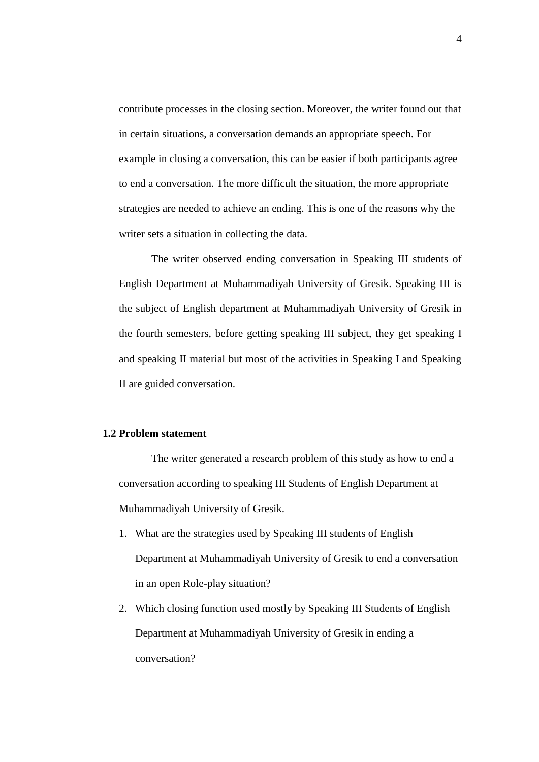contribute processes in the closing section. Moreover, the writer found out that in certain situations, a conversation demands an appropriate speech. For example in closing a conversation, this can be easier if both participants agree to end a conversation. The more difficult the situation, the more appropriate strategies are needed to achieve an ending. This is one of the reasons why the writer sets a situation in collecting the data.

The writer observed ending conversation in Speaking III students of English Department at Muhammadiyah University of Gresik. Speaking III is the subject of English department at Muhammadiyah University of Gresik in the fourth semesters, before getting speaking III subject, they get speaking I and speaking II material but most of the activities in Speaking I and Speaking II are guided conversation.

#### **1.2 Problem statement**

The writer generated a research problem of this study as how to end a conversation according to speaking III Students of English Department at Muhammadiyah University of Gresik.

- 1. What are the strategies used by Speaking III students of English Department at Muhammadiyah University of Gresik to end a conversation in an open Role-play situation?
- 2. Which closing function used mostly by Speaking III Students of English Department at Muhammadiyah University of Gresik in ending a conversation?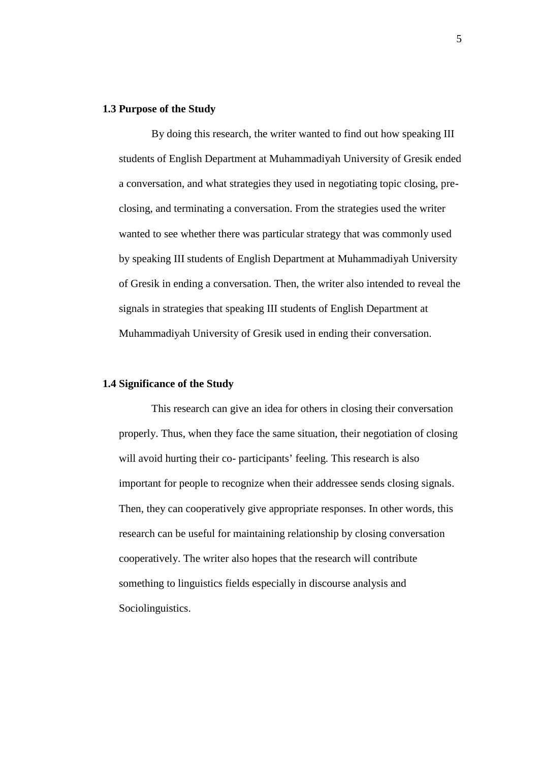#### **1.3 Purpose of the Study**

By doing this research, the writer wanted to find out how speaking III students of English Department at Muhammadiyah University of Gresik ended a conversation, and what strategies they used in negotiating topic closing, pre closing, and terminating a conversation. From the strategies used the writer wanted to see whether there was particular strategy that was commonly used by speaking III students of English Department at Muhammadiyah University of Gresik in ending a conversation. Then, the writer also intended to reveal the signals in strategies that speaking III students of English Department at Muhammadiyah University of Gresik used in ending their conversation.

#### **1.4 Significance of the Study**

This research can give an idea for others in closing their conversation properly. Thus, when they face the same situation, their negotiation of closing will avoid hurting their co- participants' feeling. This research is also important for people to recognize when their addressee sends closing signals. Then, they can cooperatively give appropriate responses. In other words, this research can be useful for maintaining relationship by closing conversation cooperatively. The writer also hopes that the research will contribute something to linguistics fields especially in discourse analysis and Sociolinguistics.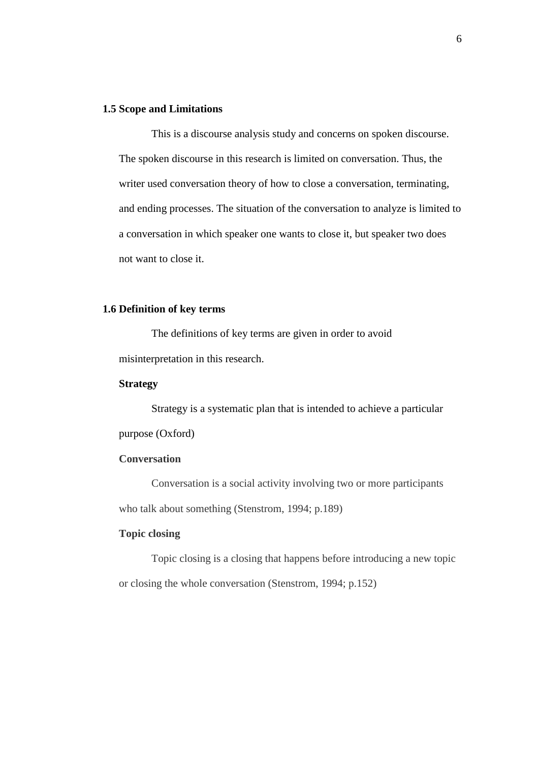## **1.5 Scope and Limitations**

This is a discourse analysis study and concerns on spoken discourse. The spoken discourse in this research is limited on conversation. Thus, the writer used conversation theory of how to close a conversation, terminating, and ending processes. The situation of the conversation to analyze is limited to a conversation in which speaker one wants to close it, but speaker two does not want to close it.

#### **1.6 Definition of key terms**

The definitions of key terms are given in order to avoid misinterpretation in this research.

#### **Strategy**

Strategy is a systematic plan that is intended to achieve a particular purpose (Oxford)

## **Conversation**

Conversation is a social activity involving two or more participants who talk about something (Stenstrom, 1994; p.189)

## **Topic closing**

Topic closing is a closing that happens before introducing a new topic or closing the whole conversation (Stenstrom, 1994; p.152)